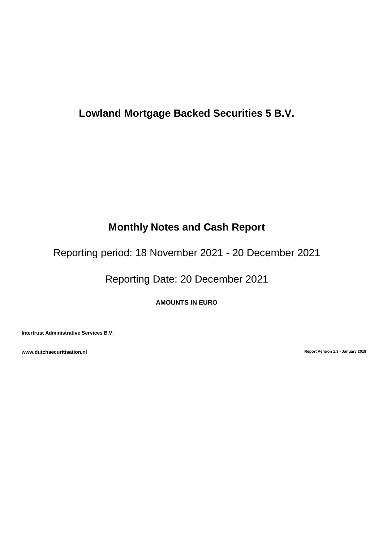# **Lowland Mortgage Backed Securities 5 B.V.**

# **Monthly Notes and Cash Report**

Reporting period: 18 November 2021 - 20 December 2021

Reporting Date: 20 December 2021

**AMOUNTS IN EURO**

**Intertrust Administrative Services B.V.**

**www.dutchsecuritisation.nl Report Version 1.3 - January 2018**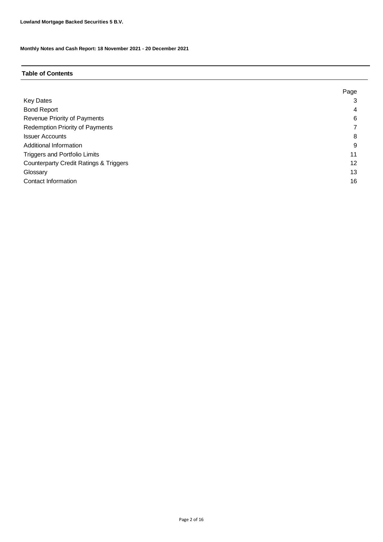# **Table of Contents**

|                                                   | Page |
|---------------------------------------------------|------|
| <b>Key Dates</b>                                  |      |
| <b>Bond Report</b>                                | 4    |
| Revenue Priority of Payments                      | 6    |
| Redemption Priority of Payments                   |      |
| <b>Issuer Accounts</b>                            | 8    |
| Additional Information                            | 9    |
| <b>Triggers and Portfolio Limits</b>              | 11   |
| <b>Counterparty Credit Ratings &amp; Triggers</b> | 12   |
| Glossary                                          | 13   |
| Contact Information                               | 16   |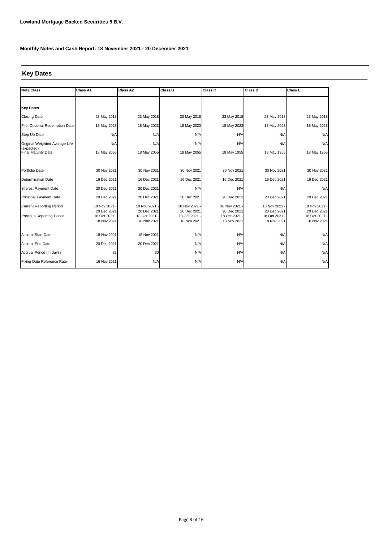# **Key Dates**

| <b>Note Class</b>                        | Class A1                   | Class A2                   | Class B                    | Class C                    | Class D                    | Class E                      |
|------------------------------------------|----------------------------|----------------------------|----------------------------|----------------------------|----------------------------|------------------------------|
|                                          |                            |                            |                            |                            |                            |                              |
| <b>Key Dates</b>                         |                            |                            |                            |                            |                            |                              |
| <b>Closing Date</b>                      | 23 May 2018                | 23 May 2018                | 23 May 2018                | 23 May 2018                | 23 May 2018                | 23 May 2018                  |
| First Optional Redemption Date           | 18 May 2023                | 18 May 2023                | 18 May 2023                | 18 May 2023                | 18 May 2023                | 18 May 2023                  |
| Step Up Date                             | N/A                        | N/A                        | N/A                        | N/A                        | N/A                        | N/A                          |
| Original Weighted Average Life           | N/A                        | N/A                        | N/A                        | N/A                        | N/A                        | N/A                          |
| (expected)<br><b>Final Maturity Date</b> | 18 May 2055                | 18 May 2055                | 18 May 2055                | 18 May 1955                | 18 May 1955                | 18 May 1955                  |
|                                          |                            |                            |                            |                            |                            |                              |
| Portfolio Date                           | 30 Nov 2021                | 30 Nov 2021                | 30 Nov 2021                | 30 Nov 2021                | 30 Nov 2021                | 30 Nov 2021                  |
| <b>Determination Date</b>                | 16 Dec 2021                | 16 Dec 2021                | 16 Dec 2021                | 16 Dec 2021                | 16 Dec 2021                | 16 Dec 2021                  |
| Interest Payment Date                    | 20 Dec 2021                | 20 Dec 2021                | N/A                        | N/A                        | N/A                        | N/A                          |
| <b>Principal Payment Date</b>            | 20 Dec 2021                | 20 Dec 2021                | 20 Dec 2021                | 20 Dec 2021                | 20 Dec 2021                | 20 Dec 2021                  |
| <b>Current Reporting Period</b>          | 18 Nov 2021                | 18 Nov 2021                | 18 Nov 2021                | 18 Nov 2021                | 18 Nov 2021 -              | 18 Nov 2021 -                |
| Previous Reporting Period                | 20 Dec 2021<br>18 Oct 2021 | 20 Dec 2021<br>18 Oct 2021 | 20 Dec 2021<br>18 Oct 2021 | 20 Dec 2021<br>18 Oct 2021 | 20 Dec 2021<br>18 Oct 2021 | 20 Dec 2021<br>18 Oct 2021 · |
|                                          | 18 Nov 2021                | 18 Nov 2021                | 18 Nov 2021                | 18 Nov 2021                | 18 Nov 2021                | 18 Nov 2021                  |
|                                          |                            |                            |                            |                            |                            |                              |
| <b>Accrual Start Date</b>                | 18 Nov 2021                | 18 Nov 2021                | N/A                        | N/A                        | N/A                        | N/A                          |
| <b>Accrual End Date</b>                  | 20 Dec 2021                | 20 Dec 2021                | N/A                        | N/A                        | N/A                        | N/A                          |
| Accrual Period (in days)                 | 32                         | 30                         | N/A                        | N/A                        | N/A                        | N/A                          |
| Fixing Date Reference Rate               | 16 Nov 2021                | N/A                        | N/A                        | N/A                        | N/A                        | N/A                          |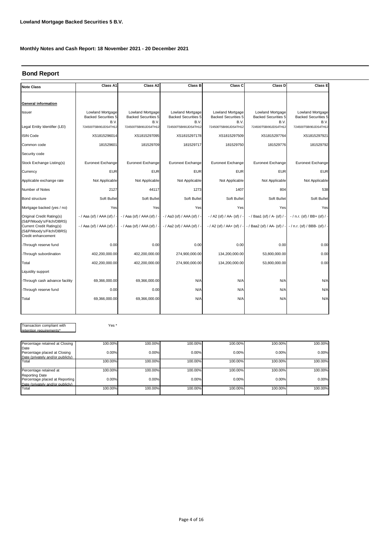# **Bond Report**

| <b>Note Class</b>                                                                                      | Class A1                                               | Class A2                                               | <b>Class B</b>                                         | Class C                                                | Class D                                                | Class E                                               |
|--------------------------------------------------------------------------------------------------------|--------------------------------------------------------|--------------------------------------------------------|--------------------------------------------------------|--------------------------------------------------------|--------------------------------------------------------|-------------------------------------------------------|
|                                                                                                        |                                                        |                                                        |                                                        |                                                        |                                                        |                                                       |
| <b>General information</b>                                                                             |                                                        |                                                        |                                                        |                                                        |                                                        |                                                       |
| <b>Issuer</b>                                                                                          | Lowland Mortgage<br><b>Backed Securities 5</b><br>B.V. | Lowland Mortgage<br><b>Backed Securities 5</b><br>B.V. | Lowland Mortgage<br><b>Backed Securities 5</b><br>B.V. | Lowland Mortgage<br><b>Backed Securities 5</b><br>B.V. | Lowland Mortgage<br><b>Backed Securities 5</b><br>B.V. | Lowland Mortgage<br><b>Backed Securities 5</b><br>B.V |
| Legal Entity Identifier (LEI)                                                                          | 724500T5BI90JDS4TH12                                   | 724500T5BI90JDS4TH12                                   | 724500T5BI90JDS4TH12                                   | 724500T5BI90JDS4TH12                                   | 724500T5BI90JDS4TH12                                   | 724500T5BI90JDS4TH12                                  |
| <b>ISIN Code</b>                                                                                       | XS1815296014                                           | XS1815297095                                           | XS1815297178                                           | XS1815297509                                           | XS1815297764                                           | XS1815297921                                          |
| Common code                                                                                            | 181529601                                              | 181529709                                              | 181529717                                              | 181529750                                              | 181529776                                              | 181529792                                             |
| Security code                                                                                          |                                                        |                                                        |                                                        |                                                        |                                                        |                                                       |
| Stock Exchange Listing(s)                                                                              | Euronext Exchange                                      | Euronext Exchange                                      | Euronext Exchange                                      | Euronext Exchange                                      | Euronext Exchange                                      | Euronext Exchange                                     |
| Currency                                                                                               | <b>EUR</b>                                             | <b>EUR</b>                                             | <b>EUR</b>                                             | <b>EUR</b>                                             | <b>EUR</b>                                             | <b>EUR</b>                                            |
| Applicable exchange rate                                                                               | Not Applicable                                         | Not Applicable                                         | Not Applicable                                         | Not Applicable                                         | Not Applicable                                         | Not Applicable                                        |
| Number of Notes                                                                                        | 2127                                                   | 44117                                                  | 1273                                                   | 1407                                                   | 804                                                    | 538                                                   |
| Bond structure                                                                                         | Soft Bullet                                            | Soft Bullet                                            | Soft Bullet                                            | Soft Bullet                                            | Soft Bullet                                            | Soft Bullet                                           |
| Mortgage backed (yes / no)                                                                             | Yes                                                    | Yes                                                    | Yes                                                    | Yes                                                    | Yes                                                    | Yes                                                   |
| Original Credit Rating(s)                                                                              | - / Aaa (sf) / AAA (sf) / -                            | $-$ / Aaa (sf) / AAA (sf) /                            | - / Aa3 (sf) / AAA (sf) / -                            | - / A2 (sf) / AA- (sf) / -                             | - / Baa1 (sf) / A- (sf) / -                            | $-$ / n.r. (sf) / BB+ (sf) / -                        |
| (S&P/Moody's/Fitch/DBRS)<br>Current Credit Rating(s)<br>(S&P/Moody's/Fitch/DBRS)<br>Credit enhancement | - / Aaa (sf) / AAA (sf) / -                            | - / Aaa (sf) / AAA (sf) /                              | - / Aa2 (sf) / AAA (sf) / -                            |                                                        | -/ A2 (sf) / AA+ (sf) / - - / Baa2 (sf) / AA- (sf) / - | - / n.r. (sf) / BBB- (sf) / -                         |
| -Through reserve fund                                                                                  | 0.00                                                   | 0.00                                                   | 0.00                                                   | 0.00                                                   | 0.00                                                   | 0.00                                                  |
| -Through subordination                                                                                 | 402,200,000.00                                         | 402,200,000.00                                         | 274,900,000.00                                         | 134,200,000.00                                         | 53,800,000.00                                          | 0.00                                                  |
| Total                                                                                                  | 402,200,000.00                                         | 402,200,000.00                                         | 274,900,000.00                                         | 134,200,000.00                                         | 53,800,000.00                                          | 0.00                                                  |
| Liquidity support                                                                                      |                                                        |                                                        |                                                        |                                                        |                                                        |                                                       |
| -Through cash advance facility                                                                         | 69,366,000.00                                          | 69,366,000.00                                          | N/A                                                    | N/A                                                    | N/A                                                    | N/A                                                   |
| -Through reserve fund                                                                                  | 0.00                                                   | 0.00                                                   | N/A                                                    | N/A                                                    | N/A                                                    | N/A                                                   |
| Total                                                                                                  | 69,366,000.00                                          | 69,366,000.00                                          | N/A                                                    | N/A                                                    | N/A                                                    | N/A                                                   |
|                                                                                                        |                                                        |                                                        |                                                        |                                                        |                                                        |                                                       |

Transaction compliant with retention requirements\*

Yes \*

| Percentage retained at Closing                          | 100.00% | 100.00% | 100.00% | 100.00% | 100.00% | 100.00% |
|---------------------------------------------------------|---------|---------|---------|---------|---------|---------|
| Date                                                    |         |         |         |         |         |         |
| Percentage placed at Closing                            | 0.00%   | 0.00%   | 0.00%   | 0.00%   | 0.00%   | 0.00%   |
| Date (privately and/or publicly)                        |         |         |         |         |         |         |
| Total                                                   | 100.00% | 100.00% | 100.00% | 100.00% | 100.00% | 100.00% |
|                                                         |         |         |         |         |         |         |
| Percentage retained at                                  | 100.00% | 100.00% | 100.00% | 100.00% | 100.00% | 100.00% |
| <b>Reporting Date</b><br>Percentage placed at Reporting | 0.00%   | 0.00%   |         | 0.00%   | 0.00%   | 0.00%   |
|                                                         |         |         | 0.00%   |         |         |         |
| Date (privately and/or publicly)                        |         |         |         |         |         |         |
| Total                                                   | 100.00% | 100.00% | 100.00% | 100.00% | 100.00% | 100.00% |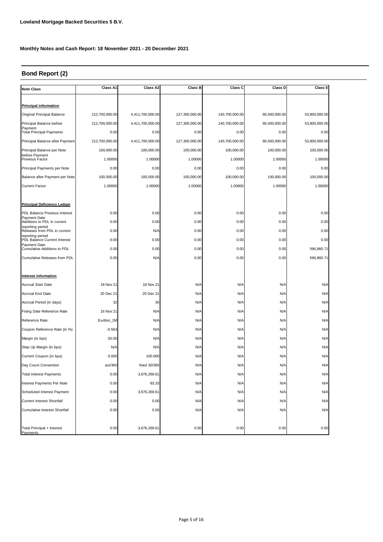# **Bond Report (2)**

| <b>Note Class</b>                                | Class A1       | Class A2         | Class B        | Class C        | Class D       | Class E       |  |
|--------------------------------------------------|----------------|------------------|----------------|----------------|---------------|---------------|--|
|                                                  |                |                  |                |                |               |               |  |
| <b>Principal information</b>                     |                |                  |                |                |               |               |  |
| Original Principal Balance                       | 212,700,000.00 | 4,411,700,000.00 | 127,300,000.00 | 140,700,000.00 | 80,400,000.00 | 53,800,000.00 |  |
| Principal Balance before                         | 212,700,000.00 | 4,411,700,000.00 | 127,300,000.00 | 140,700,000.00 | 80,400,000.00 | 53,800,000.00 |  |
| Payment<br><b>Total Principal Payments</b>       | 0.00           | 0.00             | 0.00           | 0.00           | 0.00          | 0.00          |  |
| Principal Balance after Payment                  | 212,700,000.00 | 4,411,700,000.00 | 127,300,000.00 | 140,700,000.00 | 80,400,000.00 | 53,800,000.00 |  |
| Principal Balance per Note                       | 100,000.00     | 100,000.00       | 100,000.00     | 100,000.00     | 100,000.00    | 100,000.00    |  |
| before Payment<br>Previous Factor                | 1.00000        | 1.00000          | 1.00000        | 1.00000        | 1.00000       | 1.00000       |  |
| Principal Payments per Note                      | 0.00           | 0.00             | 0.00           | 0.00           | 0.00          | 0.00          |  |
| Balance after Payment per Note                   | 100,000.00     | 100,000.00       | 100,000.00     | 100,000.00     | 100,000.00    | 100,000.00    |  |
| <b>Current Factor</b>                            | 1.00000        | 1.00000          | 1.00000        | 1.00000        | 1.00000       | 1.00000       |  |
|                                                  |                |                  |                |                |               |               |  |
| <b>Principal Deficiency Ledger</b>               |                |                  |                |                |               |               |  |
| PDL Balance Previous Interest                    | 0.00           | 0.00             | 0.00           | 0.00           | 0.00          | 0.00          |  |
| Payment Date<br>Additions to PDL in current      | 0.00           | 0.00             | 0.00           | 0.00           | 0.00          | 0.00          |  |
| reporting period<br>Releases from PDL in current | 0.00           | N/A              | 0.00           | 0.00           | 0.00          | 0.00          |  |
| reporting period<br>PDL Balance Current Interest | 0.00           | 0.00             | 0.00           | 0.00           | 0.00          | 0.00          |  |
| Payment Date<br>Cumulative Additions to PDL      | 0.00           | 0.00             | 0.00           | 0.00           | 0.00          | 596,860.71    |  |
| Cumulative Releases from PDL                     | 0.00           | N/A              | 0.00           | 0.00           | 0.00          | 596,860.71    |  |
|                                                  |                |                  |                |                |               |               |  |
| <b>Interest information</b>                      |                |                  |                |                |               |               |  |
| <b>Accrual Start Date</b>                        | 18 Nov 21      | 18 Nov 21        | N/A            | N/A            | N/A           | N/A           |  |
| Accrual End Date                                 | 20 Dec 21      | 20 Dec 21        | N/A            | N/A            | N/A           | N/A           |  |
| Accrual Period (in days)                         | 32             | 30               | N/A            | N/A            | N/A           | N/A           |  |
| Fixing Date Reference Rate                       | 16 Nov 21      | N/A              | N/A            | N/A            | N/A           | N/A           |  |
| Reference Rate                                   | Euribor_1M     | N/A              | N/A            | N/A            | N/A           | N/A           |  |
| Coupon Reference Rate (in %)                     | $-0.563$       | N/A              | N/A            | N/A            | N/A           | N/A           |  |
| Margin (in bps)                                  | 50.00          | N/A              | N/A            | N/A            | N/A           | N/A           |  |
| Step Up Margin (in bps)                          | N/A            | N/A              | N/A            | N/A            | N/A           | N/A           |  |
| Current Coupon (in bps)                          | 0.000          | 100.000          | N/A            | N/A            | N/A           | N/A           |  |
| Day Count Convention                             | act/360        | fixed 30/360     | N/A            | N/A            | N/A           | N/A           |  |
| <b>Total Interest Payments</b>                   | 0.00           | 3,676,269.61     | N/A            | N/A            | N/A           | N/A           |  |
| Interest Payments Per Note                       | 0.00           | 83.33            | N/A            | N/A            | N/A           | N/A           |  |
| Scheduled Interest Payment                       | 0.00           | 3,676,269.61     | N/A            | N/A            | N/A           | N/A           |  |
| <b>Current Interest Shortfall</b>                | 0.00           | 0.00             | N/A            | N/A            | N/A           | N/A           |  |
| <b>Cumulative Interest Shortfall</b>             | 0.00           | 0.00             | N/A            | N/A            | N/A           | N/A           |  |
|                                                  |                |                  |                |                |               |               |  |
| Total Principal + Interest<br>Payments           | 0.00           | 3,676,269.61     | 0.00           | 0.00           | 0.00          | 0.00          |  |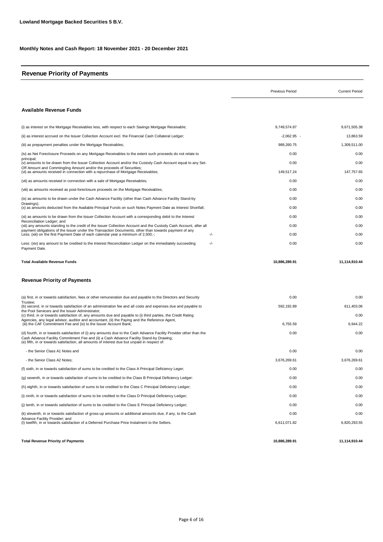# **Revenue Priority of Payments**

|                                                                                                                                                                                                                                                                                                               | Previous Period | <b>Current Period</b> |
|---------------------------------------------------------------------------------------------------------------------------------------------------------------------------------------------------------------------------------------------------------------------------------------------------------------|-----------------|-----------------------|
| <b>Available Revenue Funds</b>                                                                                                                                                                                                                                                                                |                 |                       |
| (i) as interest on the Mortgage Receivables less, with respect to each Savings Mortgage Receivable;                                                                                                                                                                                                           | 9,749,574.87    | 9,671,505.38          |
| (ii) as interest accrued on the Issuer Collection Account excl. the Financial Cash Collateral Ledger;                                                                                                                                                                                                         | $-2,062.95$ -   | 13,863.59             |
| (iii) as prepayment penalties under the Mortgage Receivables;                                                                                                                                                                                                                                                 | 989,260.75      | 1,309,511.00          |
| (iv) as Net Foreclosure Proceeds on any Mortgage Receivables to the extent such proceeds do not relate to                                                                                                                                                                                                     | 0.00            | 0.00                  |
| principal;<br>(v) amounts to be drawn from the Issuer Collection Account and/or the Custody Cash Account equal to any Set-                                                                                                                                                                                    | 0.00            | 0.00                  |
| Off Amount and Commingling Amount and/or the proceeds of Securities;<br>(vi) as amounts received in connection with a repurchase of Mortgage Receivables;                                                                                                                                                     | 149,517.24      | 147,757.65            |
| (vii) as amounts received in connection with a sale of Mortgage Receivables;                                                                                                                                                                                                                                  | 0.00            | 0.00                  |
| (viii) as amounts received as post-foreclosure proceeds on the Mortgage Receivables;                                                                                                                                                                                                                          | 0.00            | 0.00                  |
| (ix) as amounts to be drawn under the Cash Advance Facility (other than Cash Advance Facility Stand-by                                                                                                                                                                                                        | 0.00            | 0.00                  |
| Drawings);<br>(x) as amounts deducted from the Available Principal Funds on such Notes Payment Date as Interest Shortfall;                                                                                                                                                                                    | 0.00            | 0.00                  |
| (xi) as amounts to be drawn from the Issuer Collection Account with a corresponding debit to the Interest                                                                                                                                                                                                     | 0.00            | 0.00                  |
| Reconciliation Ledger: and<br>(xii) any amounts standing to the credit of the Issuer Collection Account and the Custody Cash Account, after all                                                                                                                                                               | 0.00            | 0.00                  |
| payment obligations of the Issuer under the Transaction Documents, other than towards payment of any<br>Less; (xiii) on the first Payment Date of each calendar year a minimum of 2,500,-;<br>-/-                                                                                                             | 0.00            | 0.00                  |
| Less: (xiv) any amount to be credited to the Interest Reconciliation Ledger on the immediately succeeding<br>-/-<br>Payment Date.                                                                                                                                                                             | 0.00            | 0.00                  |
| <b>Total Available Revenue Funds</b>                                                                                                                                                                                                                                                                          | 10.886.289.91   | 11,114,910.44         |
| Revenue Priority of Payments                                                                                                                                                                                                                                                                                  |                 |                       |
| (a) first, in or towards satisfaction, fees or other remuneration due and payable to the Directors and Security                                                                                                                                                                                               | 0.00            | 0.00                  |
| Trustee:<br>(b) second, in or towards satisfaction of an administration fee and all costs and expenses due and payable to                                                                                                                                                                                     | 592,192.89      | 611,403.06            |
| the Pool Servicers and the Issuer Administrator;<br>(c) third, in or towards satisfaction of, any amounts due and payable to (i) third parties, the Credit Rating                                                                                                                                             |                 | 0.00                  |
| Agencies, any legal advisor, auditor and accountant, (ii) the Paying and the Reference Agent,<br>(iii) the CAF Commitment Fee and (iv) to the Issuer Account Bank;                                                                                                                                            | 6,755.59        | 6,944.22              |
| (d) fourth, in or towards satisfaction of (i) any amounts due to the Cash Advance Facility Provider other than the<br>Cash Advance Facility Commitment Fee and (ii) a Cash Advance Facility Stand-by Drawing;<br>(e) fifth, in or towards satisfaction, all amounts of interest due but unpaid in respect of: | 0.00            | 0.00                  |
| - the Senior Class A1 Notes and                                                                                                                                                                                                                                                                               | 0.00            | 0.00                  |
| - the Senior Class A2 Notes;                                                                                                                                                                                                                                                                                  | 3,676,269.61    | 3,676,269.61          |
| (f) sixth, in or towards satisfaction of sums to be credited to the Class A Principal Deficiency Leger;                                                                                                                                                                                                       | 0.00            | 0.00                  |
| (g) seventh, in or towards satisfaction of sums to be credited to the Class B Principal Deficiency Ledger:                                                                                                                                                                                                    | 0.00            | 0.00                  |
| (h) eighth, in or towards satisfaction of sums to be credited to the Class C Principal Deficiency Ledger;                                                                                                                                                                                                     | 0.00            | 0.00                  |
| (i) ninth, in or towards satisfaction of sums to be credited to the Class D Principal Deficiency Ledger;                                                                                                                                                                                                      | 0.00            | 0.00                  |
| (i) tenth, in or towards satisfaction of sums to be credited to the Class E Principal Deficiency Ledger;                                                                                                                                                                                                      | 0.00            | 0.00                  |
| (k) eleventh, in or towards satisfaction of gross-up amounts or additional amounts due, if any, to the Cash                                                                                                                                                                                                   | 0.00            | 0.00                  |
| Advance Facility Provider; and<br>(I) twelfth, in or towards satisfaction of a Deferred Purchase Price Instalment to the Sellers.                                                                                                                                                                             | 6,611,071.82    | 6,820,293.55          |
| <b>Total Revenue Priority of Payments</b>                                                                                                                                                                                                                                                                     | 10,886,289.91   | 11,114,910.44         |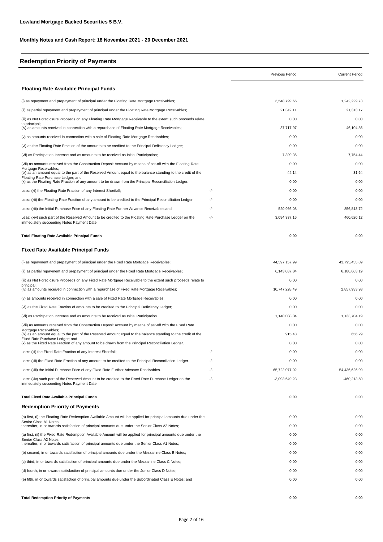# **Redemption Priority of Payments**

|                                                                                                                                                       |     | Previous Period | <b>Current Period</b> |
|-------------------------------------------------------------------------------------------------------------------------------------------------------|-----|-----------------|-----------------------|
| <b>Floating Rate Available Principal Funds</b>                                                                                                        |     |                 |                       |
| (i) as repayment and prepayment of principal under the Floating Rate Mortgage Receivables;                                                            |     | 3,548,799.66    | 1,242,229.73          |
| (ii) as partial repayment and prepayment of principal under the Floating Rate Mortgage Receivables;                                                   |     | 21,342.11       | 21,313.17             |
| (iii) as Net Foreclosure Proceeds on any Floating Rate Mortgage Receivable to the extent such proceeds relate<br>to principal:                        |     | 0.00            | 0.00                  |
| (iv) as amounts received in connection with a repurchase of Floating Rate Mortgage Receivables;                                                       |     | 37,717.97       | 46,104.86             |
| (v) as amounts received in connection with a sale of Floating Rate Mortgage Receivables;                                                              |     | 0.00            | 0.00                  |
| (vi) as the Floating Rate Fraction of the amounts to be credited to the Principal Deficiency Ledger;                                                  |     | 0.00            | 0.00                  |
| (vii) as Participation Increase and as amounts to be received as Initial Participation;                                                               |     | 7,399.36        | 7,754.44              |
| (viii) as amounts received from the Construction Deposit Account by means of set-off with the Floating Rate<br>Mortgage Receivables;                  |     | 0.00            | 0.00                  |
| (ix) as an amount equal to the part of the Reserved Amount equal to the balance standing to the credit of the<br>Floating Rate Purchase Ledger; and   |     | 44.14           | 31.64                 |
| (x) as the Floating Rate Fraction of any amount to be drawn from the Principal Reconciliation Ledger.                                                 |     | 0.00            | 0.00                  |
| Less: (xi) the Floating Rate Fraction of any Interest Shortfall;                                                                                      | -/- | 0.00            | 0.00                  |
| Less: (xii) the Floating Rate Fraction of any amount to be credited to the Principal Reconciliation Ledger;                                           | -/- | 0.00            | 0.00                  |
| Less: (xiii) the Initial Purchase Price of any Floating Rate Further Advance Receivables and                                                          | -/- | 520,966.08      | 856,813.72            |
| Less: (xiv) such part of the Reserved Amount to be credited to the Floating Rate Purchase Ledger on the<br>immediately succeeding Notes Payment Date. | -/- | 3,094,337.16    | 460,620.12            |
| <b>Total Floating Rate Available Principal Funds</b>                                                                                                  |     | 0.00            | 0.00                  |
| <b>Fixed Rate Available Principal Funds</b>                                                                                                           |     |                 |                       |
| (i) as repayment and prepayment of principal under the Fixed Rate Mortgage Receivables;                                                               |     | 44,597,157.99   | 43,795,455.89         |
| (ii) as partial repayment and prepayment of principal under the Fixed Rate Mortgage Receivables;                                                      |     | 6,143,037.84    | 6,188,663.19          |
| (iii) as Net Foreclosure Proceeds on any Fixed Rate Mortgage Receivable to the extent such proceeds relate to                                         |     | 0.00            | 0.00                  |
| principal;<br>(iv) as amounts received in connection with a repurchase of Fixed Rate Mortgage Receivables;                                            |     | 10,747,228.49   | 2,857,933.93          |
| (v) as amounts received in connection with a sale of Fixed Rate Mortgage Receivables;                                                                 |     | 0.00            | 0.00                  |
| (vi) as the Fixed Rate Fraction of amounts to be credited to the Principal Deficiency Ledger;                                                         |     | 0.00            | 0.00                  |
| (vii) as Participation Increase and as amounts to be received as Initial Participation                                                                |     | 1,140,088.04    | 1,133,704.19          |
| (viii) as amounts received from the Construction Deposit Account by means of set-off with the Fixed Rate                                              |     | 0.00            | 0.00                  |
| Mortgage Receivables;<br>(ix) as an amount equal to the part of the Reserved Amount equal to the balance standing to the credit of the                |     | 915.43          | 656.29                |
| Fixed Rate Purchase Ledger; and<br>(x) as the Fixed Rate Fraction of any amount to be drawn from the Principal Reconciliation Ledger.                 |     | 0.00            | 0.00                  |
| Less: (xi) the Fixed Rate Fraction of any Interest Shortfall;                                                                                         | -/- | 0.00            | 0.00                  |
| Less: (xii) the Fixed Rate Fraction of any amount to be credited to the Principal Reconciliation Ledger.                                              | -/- | 0.00            | 0.00                  |
| Less: (xiii) the Initial Purchase Price of any Fixed Rate Further Advance Receivables.                                                                | -/- | 65,722,077.02   | 54,436,626.99         |
| Less: (xiv) such part of the Reserved Amount to be credited to the Fixed Rate Purchase Ledger on the<br>immediately succeeding Notes Payment Date.    | -/- | $-3,093,649.23$ | -460,213.50           |
| <b>Total Fixed Rate Available Principal Funds</b>                                                                                                     |     | 0.00            | 0.00                  |
| <b>Redemption Priority of Payments</b>                                                                                                                |     |                 |                       |
| (a) first, (i) the Floating Rate Redemption Available Amount will be applied for principal amounts due under the                                      |     | 0.00            | 0.00                  |
| Senior Class A1 Notes;<br>thereafter, in or towards satisfaction of principal amounts due under the Senior Class A2 Notes;                            |     | 0.00            | 0.00                  |
| (a) first, (ii) the Fixed Rate Redemption Available Amount will be applied for principal amounts due under the                                        |     | 0.00            | 0.00                  |
| Senior Class A2 Notes;<br>thereafter, in or towards satisfaction of principal amounts due under the Senior Class A1 Notes;                            |     | 0.00            | 0.00                  |
| (b) second, in or towards satisfaction of principal amounts due under the Mezzanine Class B Notes;                                                    |     | 0.00            | 0.00                  |
| (c) third, in or towards satisfaction of principal amounts due under the Mezzanine Class C Notes;                                                     |     | 0.00            | 0.00                  |
| (d) fourth, in or towards satisfaction of principal amounts due under the Junior Class D Notes;                                                       |     | 0.00            | 0.00                  |
| (e) fifth, in or towards satisfaction of principal amounts due under the Subordinated Class E Notes; and                                              |     | 0.00            | 0.00                  |
|                                                                                                                                                       |     |                 |                       |

**Total Redemption Priority of Payments 0.00 0.00**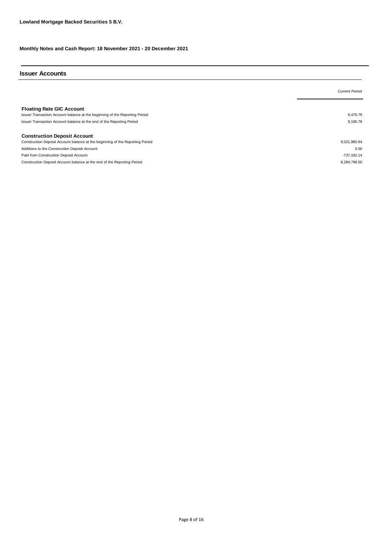# **Issuer Accounts**

|                                                                                                                                                                                          | <b>Current Period</b> |
|------------------------------------------------------------------------------------------------------------------------------------------------------------------------------------------|-----------------------|
| <b>Floating Rate GIC Account</b><br>Issuer Transaction Account balance at the beginning of the Reporting Period<br>Issuer Transaction Account balance at the end of the Reporting Period | 9.476.79<br>9,195.78  |
| <b>Construction Deposit Account</b>                                                                                                                                                      |                       |
| Construction Deposit Account balance at the beginning of the Reporting Period                                                                                                            | 9,021,980.64          |
| Additions to the Construction Deposit Account                                                                                                                                            | 0.00                  |
| Paid from Construction Deposit Account                                                                                                                                                   | -737,182.14           |
| Construction Deposit Account balance at the end of the Reporting Period                                                                                                                  | 8.284.798.50          |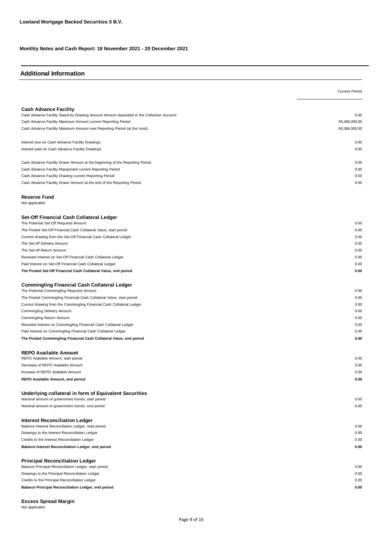# **Additional Information**

|                                                                                           | <b>Current Period</b> |
|-------------------------------------------------------------------------------------------|-----------------------|
|                                                                                           |                       |
| <b>Cash Advance Facility</b>                                                              |                       |
| Cash Advance Facility Stand-by Drawing Amount Amount deposited in the Collection Account: | 0.00                  |
| Cash Advance Facility Maximum Amount current Reporting Period                             | 69,366,000.00         |
| Cash Advance Facility Maximum Amount next Reporting Period (at the most)                  | 69,366,000.00         |
| Interest due on Cash Advance Facility Drawings                                            | 0.00                  |
| Interest paid on Cash Advance Facility Drawings                                           | 0.00                  |
|                                                                                           |                       |
| Cash Advance Facility Drawn Amount at the beginning of the Reporting Period               | 0.00                  |
| Cash Advance Facility Repayment current Reporting Period                                  | 0.00                  |
| Cash Advance Facility Drawing current Reporting Period                                    | 0.00                  |
| Cash Advance Facility Drawn Amount at the end of the Reporting Period                     | 0.00                  |
| <b>Reserve Fund</b>                                                                       |                       |
| Not applicable                                                                            |                       |
| Set-Off Financial Cash Collateral Ledger                                                  |                       |
| The Potential Set-Off Required Amount                                                     | 0.00                  |
| The Posted Set-Off Financial Cash Collateral Value, start period                          | 0.00                  |
| Current drawing from the Set-Off Financial Cash Collateral Ledger                         | 0.00                  |
| The Set-off Delivery Amount                                                               | 0.00                  |
| The Set-off Return Amount                                                                 | 0.00                  |
| Received Interest on Set-Off Financial Cash Collateral Ledger                             | 0.00                  |
| Paid Interest on Set-Off Financial Cash Collateral Ledger                                 | 0.00                  |
| The Posted Set-Off Financial Cash Collateral Value, end period                            | 0.00                  |
| <b>Commingling Financial Cash Collateral Ledger</b>                                       |                       |
| The Potential Commingling Required Amount                                                 | 0.00                  |
| The Posted Commingling Financial Cash Collateral Value, start period                      | 0.00                  |
| Current drawing from the Commingling Financial Cash Collateral Ledger                     | 0.00                  |
| Commingling Delivery Amount                                                               | 0.00                  |
| Commingling Return Amount                                                                 | 0.00                  |
| Received Interest on Commingling Financial Cash Collateral Ledger                         | 0.00                  |
| Paid Interest on Commingling Financial Cash Collateral Ledger                             | 0.00<br>0.00          |
| The Posted Commingling Financial Cash Collateral Value, end period                        |                       |
| <b>REPO Available Amount</b>                                                              |                       |
| REPO Available Amount, start period                                                       | 0.00                  |
| Decrease of REPO Available Amount                                                         | 0.00                  |
| Increase of REPO Available Amount                                                         | 0.00<br>0.00          |
| REPO Available Amount, end period                                                         |                       |
| Underlying collateral in form of Equivalent Securities                                    |                       |
| Nominal amount of government bonds, start period                                          | 0.00                  |
| Nominal amount of government bonds, end period                                            | 0.00                  |
| <b>Interest Reconciliation Ledger</b>                                                     |                       |
| Balance Interest Reconciliation Ledger, start period                                      | 0.00                  |
| Drawings to the Interest Reconciliation Ledger                                            | 0.00                  |
| Credits to the Interest Reconciliation Ledger                                             | 0.00                  |
| Balance Interest Reconciliation Ledger, end period                                        | 0.00                  |
| <b>Principal Reconciliation Ledger</b>                                                    |                       |
| Balance Principal Reconciliation Ledger, start period                                     | 0.00                  |
| Drawings to the Principal Reconciliation Ledger                                           | 0.00                  |
| Credits to the Principal Reconciliation Ledger                                            | 0.00                  |
| Balance Principal Reconciliation Ledger, end period                                       | 0.00                  |
|                                                                                           |                       |

Not applicable **Excess Spread Margin**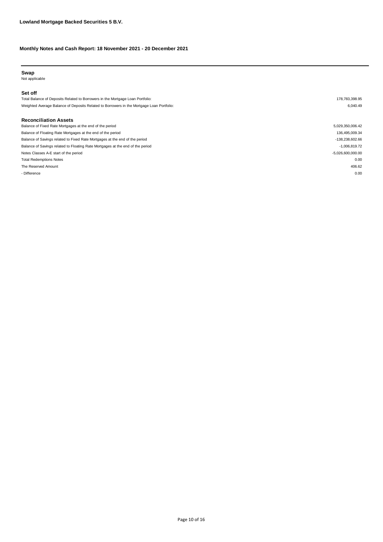# **Swap**

Not applicable

#### **Set off**

Total Balance of Deposits Related to Borrowers in the Mortgage Loan Portfolio: 178,783,398.95 Weighted Average Balance of Deposits Related to Borrowers in the Mortgage Loan Portfolio: 6,040.49

#### **Reconciliation Assets**

The Reserved Amount 406.62 - Difference and the contract of the contract of the contract of the contract of the contract of the contract of the contract of the contract of the contract of the contract of the contract of the contract of the contract Notes Classes A-E start of the period  $-5,026,600,000.00$ Total Redemptions Notes 0.00 Balance of Savings related to Fixed Rate Mortgages at the end of the period -138,238,602.66 Balance of Savings related to Floating Rate Mortgages at the end of the period -1,006,819.72 Balance of Fixed Rate Mortgages at the end of the period 5,029,350,006.42 Balance of Floating Rate Mortgages at the end of the period 136,495,009.34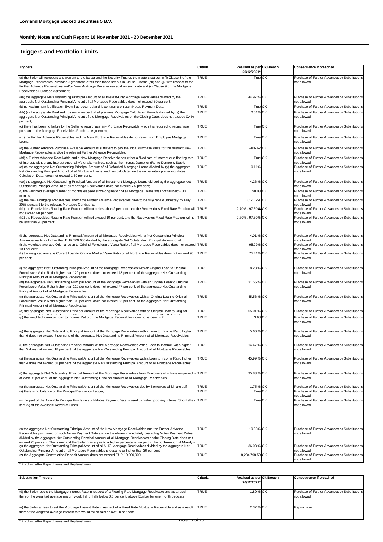# **Triggers and Portfolio Limits**

| TRUE<br>(a) the Seller will represent and warrant to the Issuer and the Security Trustee the matters set out in (i) Clause 8 of the<br>True OK<br>Purchase of Further Advances or Substitutions<br>Mortgage Receivables Purchase Agreement, other than those set out in Clause 8 items (hh) and (jj), with respect to the<br>not allowed<br>Further Advance Receivables and/or New Mortgage Receivables sold on such date and (ii) Clause 9 of the Mortgage                                                       |  |
|-------------------------------------------------------------------------------------------------------------------------------------------------------------------------------------------------------------------------------------------------------------------------------------------------------------------------------------------------------------------------------------------------------------------------------------------------------------------------------------------------------------------|--|
| Receivables Purchase Agreement;                                                                                                                                                                                                                                                                                                                                                                                                                                                                                   |  |
| (aa) the aggregate Net Outstanding Principal Amount of all Interest-Only Mortgage Receivables divided by the<br>TRUE<br>44.97 % OK<br>Purchase of Further Advances or Substitutions<br>aggregate Net Outstanding Principal Amount of all Mortgage Receivables does not exceed 50 per cent;<br>not allowed                                                                                                                                                                                                         |  |
| TRUE<br>True OK<br>(b) no Assignment Notification Event has occurred and is continuing on such Notes Payment Date;<br>Purchase of Further Advances or Substitutions                                                                                                                                                                                                                                                                                                                                               |  |
| TRUE<br>0.01% OK<br>(bb) (x) the aggregate Realised Losses in respect of all previous Mortgage Calculation Periods divided by (y) the<br>Purchase of Further Advances or Substitutions<br>aggregate Net Outstanding Principal Amount of the Mortgage Receivables on the Closing Date, does not exceed 0.4%<br>not allowed<br>per cent;                                                                                                                                                                            |  |
| (c) there has been no failure by the Seller to repurchase any Mortgage Receivable which it is required to repurchase<br>TRUE<br>True OK<br>Purchase of Further Advances or Substitutions<br>pursuant to the Mortgage Receivables Purchase Agreement;<br>not allowed                                                                                                                                                                                                                                               |  |
| TRUE<br>(cc) the Further Advance Receivables and the New Mortgage Receivables do not result from Employee Mortgage<br>True OK<br>Purchase of Further Advances or Substitutions<br>Loans;<br>not allowed                                                                                                                                                                                                                                                                                                           |  |
| TRUE<br>(d) the Further Advance Purchase Available Amount is sufficient to pay the Initial Purchase Price for the relevant New<br>-406.62 OK<br>Purchase of Further Advances or Substitutions<br>Mortgage Receivables and/or the relevant Further Advance Receivables;<br>not allowed                                                                                                                                                                                                                             |  |
| (dd) a Further Advance Receivable and a New Mortgage Receivable has either a fixed rate of interest or a floating rate<br>TRUE<br>True OK<br>Purchase of Further Advances or Substitutions                                                                                                                                                                                                                                                                                                                        |  |
| of interest, without any interest optionality's or alternatives, such as the Interest Dampner (Rente Demper), Stable<br>not allowed<br>(e) (x) the aggregate Net Outstanding Principal Amount of all Defaulted Mortgage Loans divided by (y) the aggregate<br>TRUE<br>0.11%<br>Purchase of Further Advances or Substitutions<br>not allowed<br>Net Outstanding Principal Amount of all Mortgage Loans, each as calculated on the immediately preceding Notes<br>Calculation Date, does not exceed 1.50 per cent.; |  |
| (ee) the aggregate Net Outstanding Principal Amount of all Investment Mortgage Loans divided by the aggregate Net<br><b>TRUE</b><br>4.26 % OK<br>Purchase of Further Advances or Substitutions<br>Outstanding Principal Amount of all Mortgage Receivables does not exceed 7.5 per cent;<br>not allowed                                                                                                                                                                                                           |  |
| TRUE<br>(f) the weighted average number of months elapsed since origination of all Mortgage Loans shall not fall below 30<br>98.03 OK<br>Purchase of Further Advances or Substitutions                                                                                                                                                                                                                                                                                                                            |  |
| months;<br>not allowed<br>TRUE<br>(g) the New Mortgage Receivables and/or the Further Advance Receivables have to be fully repaid ultimately by May<br>01-11-51 OK<br>Purchase of Further Advances or Substitutions<br>2053 pursuant to the relevant Mortgage Conditions;<br>not allowed                                                                                                                                                                                                                          |  |
| 2.70% / 97.30% OK<br>(h1) the Receivables Floating Rate Fraction will not be less than 2 per cent. and the Receivables Fixed Rate Fraction will TRUE<br>Purchase of Further Advances or Substitutions                                                                                                                                                                                                                                                                                                             |  |
| not exceed 98 per cent:<br>not allowed<br>(h2) the Receivables Floating Rate Fraction will not exceed 10 per cent. and the Receivables Fixed Rate Fraction will not TRUE<br>2.70% / 97.30% OK<br>Purchase of Further Advances or Substitutions<br>be less than 90 per cent;<br>not allowed                                                                                                                                                                                                                        |  |
| (i) the aggregate Net Outstanding Principal Amount of all Mortgage Receivables with a Net Outstanding Principal<br><b>TRUE</b><br>4.01 % OK<br>Purchase of Further Advances or Substitutions                                                                                                                                                                                                                                                                                                                      |  |
| Amount equal to or higher than EUR 500,000 divided by the aggregate Net Outstanding Principal Amount of all<br>not allowed<br>(j) the weighted average Original Loan to Original Foreclosure Value Ratio of all Mortgage Receivables does not exceed TRUE<br>95.29% OK<br>Purchase of Further Advances or Substitutions                                                                                                                                                                                           |  |
| 103 per cent;<br>not allowed<br><b>TRUE</b>                                                                                                                                                                                                                                                                                                                                                                                                                                                                       |  |
| (k) the weighted average Current Loan to Original Market Value Ratio of all Mortgage Receivables does not exceed 90<br>75.41% OK<br>Purchase of Further Advances or Substitutions<br>not allowed<br>per cent;                                                                                                                                                                                                                                                                                                     |  |
| TRUE<br>(I) the aggregate Net Outstanding Principal Amount of the Mortgage Receivables with an Original Loan to Original<br>8.28 % OK<br>Purchase of Further Advances or Substitutions<br>Foreclosure Value Ratio higher than 120 per cent. does not exceed 18 per cent. of the aggregate Net Outstanding<br>not allowed<br>Principal Amount of all Mortgage Receivables;                                                                                                                                         |  |
| TRUE<br>(m) the aggregate Net Outstanding Principal Amount of the Mortgage Receivables with an Original Loan to Original<br>31.55 % OK<br>Purchase of Further Advances or Substitutions<br>Foreclosure Value Ratio higher than 110 per cent. does not exceed 47 per cent. of the aggregate Net Outstanding<br>not allowed<br>Principal Amount of all Mortgage Receivables;                                                                                                                                        |  |
| TRUE<br>(n) the aggregate Net Outstanding Principal Amount of the Mortgage Receivables with an Original Loan to Original<br>45.56 % OK<br>Purchase of Further Advances or Substitutions<br>Foreclosure Value Ratio higher than 100 per cent. does not exceed 63 per cent. of the aggregate Net Outstanding<br>not allowed<br>Principal Amount of all Mortgage Receivables;                                                                                                                                        |  |
| TRUE<br>(o) the aggregate Net Outstanding Principal Amount of the Mortgage Receivables with an Original Loan to Original<br>65.01 % OK<br>Purchase of Further Advances or Substitutions                                                                                                                                                                                                                                                                                                                           |  |
| TRUE<br>Purchase of Further Advances or Substitutions<br>(p) the weighted average Loan to Income Ratio of the Mortgage Receivables does not exceed 4.2;<br>3.98 OK<br>not allowed                                                                                                                                                                                                                                                                                                                                 |  |
| (q) the aggregate Net Outstanding Principal Amount of the Mortgage Receivables with a Loan to Income Ratio higher<br>TRUE<br>5.66 % OK<br>Purchase of Further Advances or Substitutions<br>than 6 does not exceed 7 per cent. of the aggregate Net Outstanding Principal Amount of all Mortgage Receivables;<br>not allowed                                                                                                                                                                                       |  |
| TRUE<br>(r) the aggregate Net Outstanding Principal Amount of the Mortgage Receivables with a Loan to Income Ratio higher<br>14.47 % OK<br>Purchase of Further Advances or Substitutions<br>than 5 does not exceed 18 per cent. of the aggregate Net Outstanding Principal Amount of all Mortgage Receivables;<br>not allowed                                                                                                                                                                                     |  |
| TRUE<br>(s) the aggregate Net Outstanding Principal Amount of the Mortgage Receivables with a Loan to Income Ratio higher<br>45.99 % OK<br>Purchase of Further Advances or Substitutions<br>than 4 does not exceed 58 per cent. of the aggregate Net Outstanding Principal Amount of all Mortgage Receivables;<br>not allowed                                                                                                                                                                                     |  |
| (t) the aggregate Net Outstanding Principal Amount of the Mortgage Receivables from Borrowers which are employed is TRUE<br>95.83 % OK<br>Purchase of Further Advances or Substitutions<br>at least 95 per cent. of the aggregate Net Outstanding Principal Amount of all Mortgage Receivables;<br>not allowed                                                                                                                                                                                                    |  |
| TRUE<br>(u) the aggregate Net Outstanding Principal Amount of the Mortgage Receivables due by Borrowers which are self-<br>1.75 % OK<br>Purchase of Further Advances or Substitutions<br>TRUE<br>(v) there is no balance on the Principal Deficiency Ledger;<br>True OK<br>Purchase of Further Advances or Substitutions                                                                                                                                                                                          |  |
| not allowed<br>(w) no part of the Available Principal Funds on such Notes Payment Date is used to make good any Interest Shortfall as TRUE<br>True OK<br>Purchase of Further Advances or Substitutions<br>item (x) of the Available Revenue Funds;<br>not allowed                                                                                                                                                                                                                                                 |  |
|                                                                                                                                                                                                                                                                                                                                                                                                                                                                                                                   |  |
| TRUE<br>(x) the aggregate Net Outstanding Principal Amount of the New Mortgage Receivables and the Further Advance<br>19.03% OK<br>Purchase of Further Advances or Substitutions<br>Receivables purchased on such Notes Payment Date and on the eleven immediately preceding Notes Payment Dates<br>not allowed<br>divided by the aggregate Net Outstanding Principal Amount of all Mortgage Receivables on the Closing Date does not                                                                             |  |
| exceed 20 per cent. The Issuer and the Seller may agree to a higher percentage, subject to the confirmation of Moody's<br>(y) the aggregate Net Outstanding Principal Amount of all NHG Mortgage Receivables divided by the aggregate Net<br>TRUE<br>36.08 % OK<br>Purchase of Further Advances or Substitutions                                                                                                                                                                                                  |  |
| Outstanding Principal Amount of all Mortgage Receivables is equal to or higher than 36 per cent;<br>not allowed<br>TRUE<br>(z) the Aggregate Construction Deposit Amount does not exceed EUR 10,000,000;<br>8,284,798.50 OK<br>Purchase of Further Advances or Substitutions<br>not allowed                                                                                                                                                                                                                       |  |

\* Portfolio after Repurchases and Replenishment

| <b>Substitution Triggers</b>                                                                                                                                                                                                            | Criteria     | Realised as per Ok/Breach<br>20/12/2021* | <b>Consequence if breached</b>                               |
|-----------------------------------------------------------------------------------------------------------------------------------------------------------------------------------------------------------------------------------------|--------------|------------------------------------------|--------------------------------------------------------------|
| (d) the Seller resets the Mortgage Interest Rate in respect of a Floating Rate Mortgage Receivable and as a result<br>thereof the weighted average margin would fall or falls below 0.5 per cent. above Euribor for one month deposits; | <b>TRUE</b>  | 1.80 % OK                                | Purchase of Further Advances or Substitutions<br>not allowed |
| (e) the Seller agrees to set the Mortgage Interest Rate in respect of a Fixed Rate Mortgage Receivable and as a result<br>thereof the weighted average interest rate would fall or falls below 1.0 per cent.;                           | <b>ITRUE</b> | 2.32 % OK                                | Repurchase                                                   |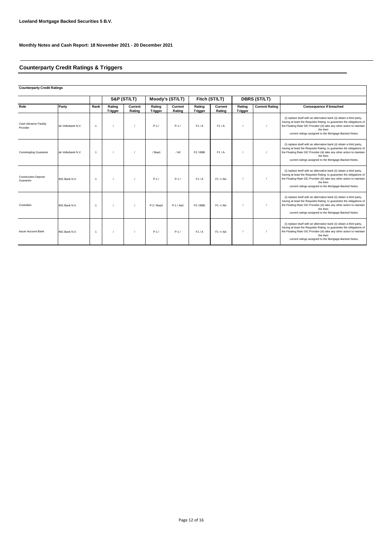# **Counterparty Credit Ratings & Triggers**

# **Counterparty Credit Ratings**

|                                          |                   |                      |                   | S&P (ST/LT)       |                          | Moody's (ST/LT)   | Fitch (ST/LT)            |                   |                   | DBRS (ST/LT)          |                                                                                                                                                                                                                                                                                                 |
|------------------------------------------|-------------------|----------------------|-------------------|-------------------|--------------------------|-------------------|--------------------------|-------------------|-------------------|-----------------------|-------------------------------------------------------------------------------------------------------------------------------------------------------------------------------------------------------------------------------------------------------------------------------------------------|
| Role                                     | Party             | Rank                 | Rating<br>Trigger | Current<br>Rating | Rating<br><b>Trigger</b> | Current<br>Rating | Rating<br><b>Trigger</b> | Current<br>Rating | Rating<br>Trigger | <b>Current Rating</b> | Consequence if breached                                                                                                                                                                                                                                                                         |
| Cash Advance Facility<br>Provider        | de Volksbank N.V. | $\overline{1}$       |                   |                   | $P-1/$                   | $P-1/$            | F1/A                     | F1/A              |                   |                       | (i) replace itself with an alternative bank (ii) obtain a third party,<br>having at least the Requisite Rating, to guarantee the obligations of<br>the Floating Rate GIC Provider (iii) take any other action to maintain<br>the then<br>current ratings assigned to the Mortgage-Backed Notes. |
| <b>Commingling Guarantor</b>             | de Volksbank N.V. | $\overline{1}$       |                   |                   | /Baa1                    | / A2              | F <sub>2</sub> /BBB      | $F1/A-$           |                   |                       | (i) replace itself with an alternative bank (ii) obtain a third party,<br>having at least the Requisite Rating, to guarantee the obligations of<br>the Floating Rate GIC Provider (iii) take any other action to maintain<br>the then<br>current ratings assigned to the Mortgage-Backed Notes. |
| <b>Construction Deposit</b><br>Guarantor | ING Bank N.V.     | $\overline{1}$       |                   |                   | $P-1/$                   | $P-1/$            | F1/A                     | $F1 + / AA$       |                   |                       | (i) replace itself with an alternative bank (ii) obtain a third party,<br>having at least the Requisite Rating, to guarantee the obligations of<br>the Floating Rate GIC Provider (iii) take any other action to maintain<br>the then<br>current ratings assigned to the Mortgage-Backed Notes. |
| Custodian                                | ING Bank N.V.     | $\blacktriangleleft$ |                   |                   | $P-2$ / Baa2             | $P-1/Aa3$         | F2/BBB                   | $F1 + / AA$       |                   |                       | (i) replace itself with an alternative bank (ii) obtain a third party,<br>having at least the Requisite Rating, to guarantee the obligations of<br>the Floating Rate GIC Provider (iii) take any other action to maintain<br>the then<br>current ratings assigned to the Mortgage-Backed Notes. |
| <b>Issuer Account Bank</b>               | ING Bank N.V.     | $\overline{1}$       |                   |                   | $P-1/$                   | $P-1/$            | F1/A                     | $F1 + / AA$       |                   |                       | (i) replace itself with an alternative bank (ii) obtain a third party,<br>having at least the Requisite Rating, to guarantee the obligations of<br>the Floating Rate GIC Provider (iii) take any other action to maintain<br>the then<br>current ratings assigned to the Mortgage-Backed Notes. |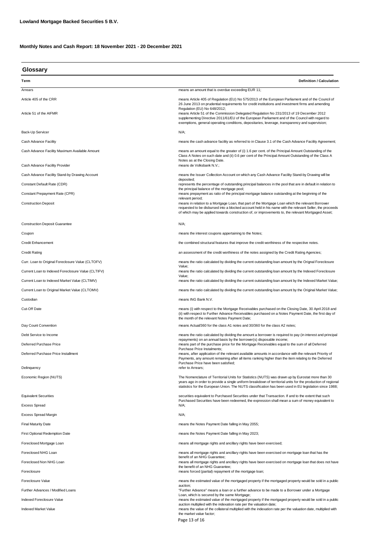| Glossary                                           |                                                                                                                                                                                                                                                                                                                                                                                                                                    |  |
|----------------------------------------------------|------------------------------------------------------------------------------------------------------------------------------------------------------------------------------------------------------------------------------------------------------------------------------------------------------------------------------------------------------------------------------------------------------------------------------------|--|
| Term                                               | <b>Definition / Calculation</b>                                                                                                                                                                                                                                                                                                                                                                                                    |  |
| Arrears                                            | means an amount that is overdue exceeding EUR 11;                                                                                                                                                                                                                                                                                                                                                                                  |  |
| Article 405 of the CRR                             | means Article 405 of Regulation (EU) No 575/2013 of the European Parliament and of the Council of                                                                                                                                                                                                                                                                                                                                  |  |
| Article 51 of the AIFMR                            | 26 June 2013 on prudential requirements for credit institutions and investment firms and amending<br>Regulation (EU) No 648/2012;<br>means Article 51 of the Commission Delegated Regulation No 231/2013 of 19 December 2012<br>supplementing Directive 2011/61/EU of the European Parliament and of the Council with regard to<br>exemptions, general operating conditions, depositaries, leverage, transparency and supervision; |  |
| Back-Up Servicer                                   | N/A;                                                                                                                                                                                                                                                                                                                                                                                                                               |  |
| Cash Advance Facility                              | means the cash advance facility as referred to in Clause 3.1 of the Cash Advance Facility Agreement;                                                                                                                                                                                                                                                                                                                               |  |
| Cash Advance Facility Maximum Available Amount     | means an amount equal to the greater of (i) 1.6 per cent. of the Principal Amount Outstanding of the<br>Class A Notes on such date and (ii) 0.6 per cent of the Principal Amount Outstanding of the Class A<br>Notes as at the Closing Date.                                                                                                                                                                                       |  |
| Cash Advance Facility Provider                     | means de Volksbank N.V.;                                                                                                                                                                                                                                                                                                                                                                                                           |  |
| Cash Advance Facility Stand-by Drawing Account     | means the Issuer Collection Account on which any Cash Advance Facility Stand-by Drawing will be                                                                                                                                                                                                                                                                                                                                    |  |
| Constant Default Rate (CDR)                        | deposited;<br>represents the percentage of outstanding principal balances in the pool that are in default in relation to                                                                                                                                                                                                                                                                                                           |  |
| Constant Prepayment Rate (CPR)                     | the principal balance of the mortgage pool;<br>means prepayment as ratio of the principal mortgage balance outstanding at the beginning of the                                                                                                                                                                                                                                                                                     |  |
| <b>Construction Deposit</b>                        | relevant period;<br>means in relation to a Mortgage Loan, that part of the Mortgage Loan which the relevant Borrower<br>requested to be disbursed into a blocked account held in his name with the relevant Seller, the proceeds<br>of which may be applied towards construction of, or improvements to, the relevant Mortgaged Asset;                                                                                             |  |
| <b>Construction Deposit Guarantee</b>              | N/A;                                                                                                                                                                                                                                                                                                                                                                                                                               |  |
| Coupon                                             | means the interest coupons appertaining to the Notes;                                                                                                                                                                                                                                                                                                                                                                              |  |
| <b>Credit Enhancement</b>                          | the combined structural features that improve the credit worthiness of the respective notes.                                                                                                                                                                                                                                                                                                                                       |  |
| <b>Credit Rating</b>                               | an assessment of the credit worthiness of the notes assigned by the Credit Rating Agencies;                                                                                                                                                                                                                                                                                                                                        |  |
| Curr. Loan to Original Foreclosure Value (CLTOFV)  | means the ratio calculated by dividing the current outstanding loan amount by the Orignal Foreclosure                                                                                                                                                                                                                                                                                                                              |  |
| Current Loan to Indexed Foreclosure Value (CLTIFV) | Value;<br>means the ratio calculated by dividing the current outstanding loan amount by the Indexed Foreclosure                                                                                                                                                                                                                                                                                                                    |  |
| Current Loan to Indexed Market Value (CLTIMV)      | Value;<br>means the ratio calculated by dividing the current outstanding loan amount by the Indexed Market Value;                                                                                                                                                                                                                                                                                                                  |  |
| Current Loan to Original Market Value (CLTOMV)     | means the ratio calculated by dividing the current outstanding loan amount by the Original Market Value;                                                                                                                                                                                                                                                                                                                           |  |
| Custodian                                          | means ING Bank N.V.                                                                                                                                                                                                                                                                                                                                                                                                                |  |
| Cut-Off Date                                       | means (i) with respect to the Mortgage Receivables purchased on the Closing Date, 30 April 2018 and<br>(ii) with respect to Further Advance Receivables purchased on a Notes Payment Date, the first day of<br>the month of the relevant Notes Payment Date;                                                                                                                                                                       |  |
| Day Count Convention                               | means Actual/360 for the class A1 notes and 30/360 for the class A2 notes;                                                                                                                                                                                                                                                                                                                                                         |  |
| Debt Service to Income                             | means the ratio calculated by dividing the amount a borrower is required to pay (in interest and principal<br>repayments) on an annual basis by the borrower(s) disposable income;                                                                                                                                                                                                                                                 |  |
| Deferred Purchase Price                            | means part of the purchase price for the Mortgage Receivables equal to the sum of all Deferred                                                                                                                                                                                                                                                                                                                                     |  |
| Deferred Purchase Price Installment                | Purchase Price Instalments;<br>means, after application of the relevant available amounts in accordance with the relevant Priority of<br>Payments, any amount remaining after all items ranking higher than the item relating to the Deferred<br>Purchase Price have been satisfied;                                                                                                                                               |  |
| Delinquency                                        | refer to Arrears;                                                                                                                                                                                                                                                                                                                                                                                                                  |  |
| Economic Region (NUTS)                             | The Nomenclature of Territorial Units for Statistics (NUTS) was drawn up by Eurostat more than 30<br>years ago in order to provide a single uniform breakdown of territorial units for the production of regional<br>statistics for the European Union. The NUTS classification has been used in EU legislation since 1988;                                                                                                        |  |
| <b>Equivalent Securities</b>                       | securities equivalent to Purchased Securities under that Transaction. If and to the extent that such<br>Purchased Securities have been redeemed, the expression shall mean a sum of money equivalent to                                                                                                                                                                                                                            |  |
| <b>Excess Spread</b>                               | N/A;                                                                                                                                                                                                                                                                                                                                                                                                                               |  |
| Excess Spread Margin                               | N/A;                                                                                                                                                                                                                                                                                                                                                                                                                               |  |
| <b>Final Maturity Date</b>                         | means the Notes Payment Date falling in May 2055;                                                                                                                                                                                                                                                                                                                                                                                  |  |
| First Optional Redemption Date                     | means the Notes Payment Date falling in May 2023;                                                                                                                                                                                                                                                                                                                                                                                  |  |
| Foreclosed Mortgage Loan                           | means all mortgage rights and ancillary rights have been exercised;                                                                                                                                                                                                                                                                                                                                                                |  |
| Foreclosed NHG Loan                                | means all mortgage rights and ancillary rights have been exercised on mortgage loan that has the<br>benefit of an NHG Guarantee;                                                                                                                                                                                                                                                                                                   |  |
| Foreclosed Non NHG Loan                            | means all mortgage rights and ancillary rights have been exercised on mortgage loan that does not have<br>the benefit of an NHG Guarantee;                                                                                                                                                                                                                                                                                         |  |
| Foreclosure                                        | means forced (partial) repayment of the mortgage loan;                                                                                                                                                                                                                                                                                                                                                                             |  |
| Foreclosure Value                                  | means the estimated value of the mortgaged property if the mortgaged property would be sold in a public<br>auction;                                                                                                                                                                                                                                                                                                                |  |
| Further Advances / Modified Loans                  | "Further Advance" means a loan or a further advance to be made to a Borrower under a Mortgage<br>Loan, which is secured by the same Mortgage;                                                                                                                                                                                                                                                                                      |  |
| Indexed Foreclosure Value                          | means the estimated value of the mortgaged property if the mortgaged property would be sold in a public<br>auction multiplied with the indexation rate per the valuation date;                                                                                                                                                                                                                                                     |  |
| Indexed Market Value                               | means the value of the collateral multiplied with the indexation rate per the valuation date, multiplied with<br>the market value factor;<br>Page 13 of 16                                                                                                                                                                                                                                                                         |  |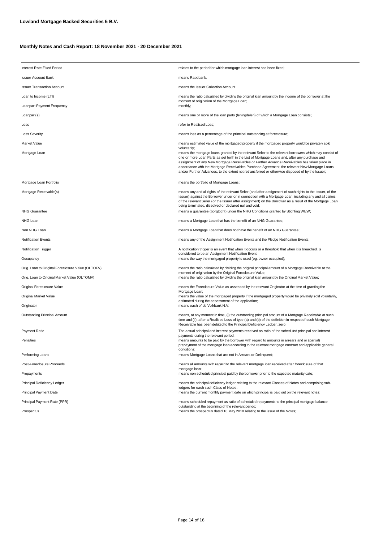| Interest Rate Fixed Period                        | relates to the period for which mortgage loan interest has been fixed;                                                                                                                                                                                                                                                                                                                                                                                                                                      |  |
|---------------------------------------------------|-------------------------------------------------------------------------------------------------------------------------------------------------------------------------------------------------------------------------------------------------------------------------------------------------------------------------------------------------------------------------------------------------------------------------------------------------------------------------------------------------------------|--|
| <b>Issuer Account Bank</b>                        | means Rabobank.                                                                                                                                                                                                                                                                                                                                                                                                                                                                                             |  |
| <b>Issuer Transaction Account</b>                 | means the Issuer Collection Account.                                                                                                                                                                                                                                                                                                                                                                                                                                                                        |  |
| Loan to Income (LTI)                              | means the ratio calculated by dividing the original loan amount by the income of the borrower at the<br>moment of origination of the Mortgage Loan;                                                                                                                                                                                                                                                                                                                                                         |  |
| Loanpart Payment Frequency                        | monthly;                                                                                                                                                                                                                                                                                                                                                                                                                                                                                                    |  |
| Loanpart(s)                                       | means one or more of the loan parts (leningdelen) of which a Mortgage Loan consists;                                                                                                                                                                                                                                                                                                                                                                                                                        |  |
| Loss                                              | refer to Realised Loss:                                                                                                                                                                                                                                                                                                                                                                                                                                                                                     |  |
| <b>Loss Severity</b>                              | means loss as a percentage of the principal outstanding at foreclosure;                                                                                                                                                                                                                                                                                                                                                                                                                                     |  |
| Market Value                                      | means estimated value of the mortgaged property if the mortgaged property would be privately sold<br>voluntarily;                                                                                                                                                                                                                                                                                                                                                                                           |  |
| Mortgage Loan                                     | means the mortgage loans granted by the relevant Seller to the relevant borrowers which may consist of<br>one or more Loan Parts as set forth in the List of Mortgage Loans and, after any purchase and<br>assignment of any New Mortgage Receivables or Further Advance Receivables has taken place in<br>accordance with the Mortgage Receivables Purchase Agreement, the relevant New Mortgage Loans<br>and/or Further Advances, to the extent not retransferred or otherwise disposed of by the Issuer; |  |
| Mortgage Loan Portfolio                           | means the portfolio of Mortgage Loans;                                                                                                                                                                                                                                                                                                                                                                                                                                                                      |  |
| Mortgage Receivable(s)                            | means any and all rights of the relevant Seller (and after assignment of such rights to the Issuer, of the<br>Issuer) against the Borrower under or in connection with a Mortgage Loan, including any and all claims<br>of the relevant Seller (or the Issuer after assignment) on the Borrower as a result of the Mortgage Loan<br>being terminated, dissolved or declared null and void;                                                                                                                  |  |
| <b>NHG Guarantee</b>                              | means a guarantee (borgtocht) under the NHG Conditions granted by Stichting WEW;                                                                                                                                                                                                                                                                                                                                                                                                                            |  |
| NHG Loan                                          | means a Mortgage Loan that has the benefit of an NHG Guarantee;                                                                                                                                                                                                                                                                                                                                                                                                                                             |  |
| Non NHG Loan                                      | means a Mortgage Loan that does not have the benefit of an NHG Guarantee;                                                                                                                                                                                                                                                                                                                                                                                                                                   |  |
| <b>Notification Events</b>                        | means any of the Assignment Notification Events and the Pledge Notification Events;                                                                                                                                                                                                                                                                                                                                                                                                                         |  |
| Notification Trigger                              | A notification trigger is an event that when it occurs or a threshold that when it is breached, is<br>considered to be an Assignment Notification Event;                                                                                                                                                                                                                                                                                                                                                    |  |
| Occupancy                                         | means the way the mortgaged property is used (eg. owner occupied);                                                                                                                                                                                                                                                                                                                                                                                                                                          |  |
| Orig. Loan to Original Foreclosure Value (OLTOFV) | means the ratio calculated by dividing the original principal amount of a Mortgage Receivable at the<br>moment of origination by the Original Foreclosure Value;                                                                                                                                                                                                                                                                                                                                            |  |
| Orig. Loan to Original Market Value (OLTOMV)      | means the ratio calculated by dividing the original loan amount by the Original Market Value;                                                                                                                                                                                                                                                                                                                                                                                                               |  |
| Original Foreclosure Value                        | means the Foreclosure Value as assessed by the relevant Originator at the time of granting the<br>Mortgage Loan;                                                                                                                                                                                                                                                                                                                                                                                            |  |
| Original Market Value                             | means the value of the mortgaged property if the mortgaged property would be privately sold voluntarily,<br>estimated during the assessment of the application;                                                                                                                                                                                                                                                                                                                                             |  |
| Originator                                        | means each of de Volkbank N.V.                                                                                                                                                                                                                                                                                                                                                                                                                                                                              |  |
| Outstanding Principal Amount                      | means, at any moment in time, (i) the outstanding principal amount of a Mortgage Receivable at such<br>time and (ii), after a Realised Loss of type (a) and (b) of the definition in respect of such Mortgage<br>Receivable has been debited to the Principal Deficiency Ledger, zero;                                                                                                                                                                                                                      |  |
| Payment Ratio                                     | The actual principal and interest payments received as ratio of the scheduled principal and interest                                                                                                                                                                                                                                                                                                                                                                                                        |  |
| Penalties                                         | payments during the relevant period;<br>means amounts to be paid by the borrower with regard to amounts in arrears and or (partial)<br>prepayment of the mortgage loan according to the relevant mortgage contract and applicable general<br>conditions:                                                                                                                                                                                                                                                    |  |
| Performing Loans                                  | means Mortgage Loans that are not in Arrears or Delinquent;                                                                                                                                                                                                                                                                                                                                                                                                                                                 |  |
| Post-Foreclosure Proceeds                         | means all amounts with regard to the relevant mortgage loan received after foreclosure of that<br>mortgage loan;                                                                                                                                                                                                                                                                                                                                                                                            |  |
| Prepayments                                       | means non scheduled principal paid by the borrower prior to the expected maturity date;                                                                                                                                                                                                                                                                                                                                                                                                                     |  |
| Principal Deficiency Ledger                       | means the principal deficiency ledger relating to the relevant Classes of Notes and comprising sub-<br>ledgers for each such Class of Notes;                                                                                                                                                                                                                                                                                                                                                                |  |
| Principal Payment Date                            | means the current monthly payment date on which principal is paid out on the relevant notes;                                                                                                                                                                                                                                                                                                                                                                                                                |  |
| Principal Payment Rate (PPR)                      | means scheduled repayment as ratio of scheduled repayments to the principal mortgage balance<br>outstanding at the beginning of the relevant period;                                                                                                                                                                                                                                                                                                                                                        |  |
| Prospectus                                        | means the prospectus dated 18 May 2018 relating to the issue of the Notes;                                                                                                                                                                                                                                                                                                                                                                                                                                  |  |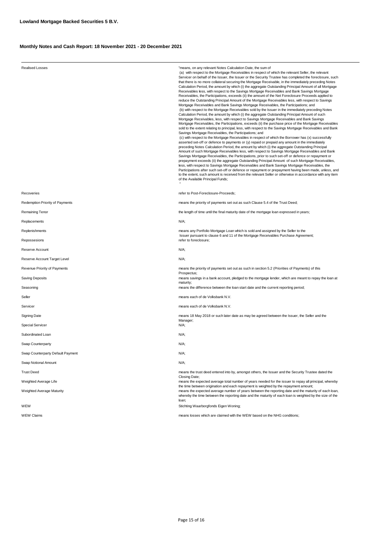| <b>Realised Losses</b>            | "means, on any relevant Notes Calculation Date, the sum of<br>(a) with respect to the Mortgage Receivables in respect of which the relevant Seller, the relevant<br>Servicer on behalf of the Issuer, the Issuer or the Security Trustee has completed the foreclosure, such<br>that there is no more collateral securing the Mortgage Receivable, in the immediately preceding Notes<br>Calculation Period, the amount by which (i) the aggregate Outstanding Principal Amount of all Mortgage<br>Receivables less, with respect to the Savings Mortgage Receivables and Bank Savings Mortgage<br>Receivables, the Participations, exceeds (ii) the amount of the Net Foreclosure Proceeds applied to<br>reduce the Outstanding Principal Amount of the Mortgage Receivables less, with respect to Savings<br>Mortgage Receivables and Bank Savings Mortgage Receivables, the Participations; and<br>(b) with respect to the Mortgage Receivables sold by the Issuer in the immediately preceding Notes<br>Calculation Period, the amount by which (i) the aggregate Outstanding Principal Amount of such<br>Mortgage Receivables, less, with respect to Savings Mortgage Receivables and Bank Savings<br>Mortgage Receivables, the Participations, exceeds (ii) the purchase price of the Mortgage Receivables<br>sold to the extent relating to principal, less, with respect to the Savings Mortgage Receivables and Bank<br>Savings Mortgage Receivables, the Participations; and<br>(c) with respect to the Mortgage Receivables in respect of which the Borrower has (x) successfully<br>asserted set-off or defence to payments or (y) repaid or prepaid any amount in the immediately<br>preceding Notes Calculation Period, the amount by which (i) the aggregate Outstanding Principal<br>Amount of such Mortgage Receivables less, with respect to Savings Mortgage Receivables and Bank<br>Savings Mortgage Receivables, the Participations, prior to such set-off or defence or repayment or<br>prepayment exceeds (ii) the aggregate Outstanding Principal Amount of such Mortgage Receivables,<br>less, with respect to Savings Mortgage Receivables and Bank Savings Mortgage Receivables, the<br>Participations after such set-off or defence or repayment or prepayment having been made, unless, and<br>to the extent, such amount is received from the relevant Seller or otherwise in accordance with any item<br>of the Available Principal Funds; |  |
|-----------------------------------|---------------------------------------------------------------------------------------------------------------------------------------------------------------------------------------------------------------------------------------------------------------------------------------------------------------------------------------------------------------------------------------------------------------------------------------------------------------------------------------------------------------------------------------------------------------------------------------------------------------------------------------------------------------------------------------------------------------------------------------------------------------------------------------------------------------------------------------------------------------------------------------------------------------------------------------------------------------------------------------------------------------------------------------------------------------------------------------------------------------------------------------------------------------------------------------------------------------------------------------------------------------------------------------------------------------------------------------------------------------------------------------------------------------------------------------------------------------------------------------------------------------------------------------------------------------------------------------------------------------------------------------------------------------------------------------------------------------------------------------------------------------------------------------------------------------------------------------------------------------------------------------------------------------------------------------------------------------------------------------------------------------------------------------------------------------------------------------------------------------------------------------------------------------------------------------------------------------------------------------------------------------------------------------------------------------------------------------------------------------------------------------------------------------------------------------------------------------------------|--|
| Recoveries                        | refer to Post-Foreclosure-Proceeds;                                                                                                                                                                                                                                                                                                                                                                                                                                                                                                                                                                                                                                                                                                                                                                                                                                                                                                                                                                                                                                                                                                                                                                                                                                                                                                                                                                                                                                                                                                                                                                                                                                                                                                                                                                                                                                                                                                                                                                                                                                                                                                                                                                                                                                                                                                                                                                                                                                       |  |
| Redemption Priority of Payments   | means the priority of payments set out as such Clause 5.4 of the Trust Deed;                                                                                                                                                                                                                                                                                                                                                                                                                                                                                                                                                                                                                                                                                                                                                                                                                                                                                                                                                                                                                                                                                                                                                                                                                                                                                                                                                                                                                                                                                                                                                                                                                                                                                                                                                                                                                                                                                                                                                                                                                                                                                                                                                                                                                                                                                                                                                                                              |  |
| Remaining Tenor                   | the length of time until the final maturity date of the mortgage loan expressed in years;                                                                                                                                                                                                                                                                                                                                                                                                                                                                                                                                                                                                                                                                                                                                                                                                                                                                                                                                                                                                                                                                                                                                                                                                                                                                                                                                                                                                                                                                                                                                                                                                                                                                                                                                                                                                                                                                                                                                                                                                                                                                                                                                                                                                                                                                                                                                                                                 |  |
| Replacements                      | $N/A$ ;                                                                                                                                                                                                                                                                                                                                                                                                                                                                                                                                                                                                                                                                                                                                                                                                                                                                                                                                                                                                                                                                                                                                                                                                                                                                                                                                                                                                                                                                                                                                                                                                                                                                                                                                                                                                                                                                                                                                                                                                                                                                                                                                                                                                                                                                                                                                                                                                                                                                   |  |
| Replenishments                    | means any Portfolio Mortgage Loan which is sold and assigned by the Seller to the<br>Issuer pursuant to clause 6 and 11 of the Mortgage Receivables Purchase Agreement;                                                                                                                                                                                                                                                                                                                                                                                                                                                                                                                                                                                                                                                                                                                                                                                                                                                                                                                                                                                                                                                                                                                                                                                                                                                                                                                                                                                                                                                                                                                                                                                                                                                                                                                                                                                                                                                                                                                                                                                                                                                                                                                                                                                                                                                                                                   |  |
| Repossesions                      | refer to foreclosure;                                                                                                                                                                                                                                                                                                                                                                                                                                                                                                                                                                                                                                                                                                                                                                                                                                                                                                                                                                                                                                                                                                                                                                                                                                                                                                                                                                                                                                                                                                                                                                                                                                                                                                                                                                                                                                                                                                                                                                                                                                                                                                                                                                                                                                                                                                                                                                                                                                                     |  |
| Reserve Account                   | $N/A$ ;                                                                                                                                                                                                                                                                                                                                                                                                                                                                                                                                                                                                                                                                                                                                                                                                                                                                                                                                                                                                                                                                                                                                                                                                                                                                                                                                                                                                                                                                                                                                                                                                                                                                                                                                                                                                                                                                                                                                                                                                                                                                                                                                                                                                                                                                                                                                                                                                                                                                   |  |
| Reserve Account Target Level      | $N/A$ ;                                                                                                                                                                                                                                                                                                                                                                                                                                                                                                                                                                                                                                                                                                                                                                                                                                                                                                                                                                                                                                                                                                                                                                                                                                                                                                                                                                                                                                                                                                                                                                                                                                                                                                                                                                                                                                                                                                                                                                                                                                                                                                                                                                                                                                                                                                                                                                                                                                                                   |  |
| Revenue Priority of Payments      | means the priority of payments set out as such in section 5.2 (Priorities of Payments) of this<br>Prospectus;                                                                                                                                                                                                                                                                                                                                                                                                                                                                                                                                                                                                                                                                                                                                                                                                                                                                                                                                                                                                                                                                                                                                                                                                                                                                                                                                                                                                                                                                                                                                                                                                                                                                                                                                                                                                                                                                                                                                                                                                                                                                                                                                                                                                                                                                                                                                                             |  |
| <b>Saving Deposits</b>            | means savings in a bank account, pledged to the mortgage lender, which are meant to repay the loan at<br>maturity;                                                                                                                                                                                                                                                                                                                                                                                                                                                                                                                                                                                                                                                                                                                                                                                                                                                                                                                                                                                                                                                                                                                                                                                                                                                                                                                                                                                                                                                                                                                                                                                                                                                                                                                                                                                                                                                                                                                                                                                                                                                                                                                                                                                                                                                                                                                                                        |  |
| Seasoning                         | means the difference between the loan start date and the current reporting period;                                                                                                                                                                                                                                                                                                                                                                                                                                                                                                                                                                                                                                                                                                                                                                                                                                                                                                                                                                                                                                                                                                                                                                                                                                                                                                                                                                                                                                                                                                                                                                                                                                                                                                                                                                                                                                                                                                                                                                                                                                                                                                                                                                                                                                                                                                                                                                                        |  |
| Seller                            | means each of de Volksbank N.V.                                                                                                                                                                                                                                                                                                                                                                                                                                                                                                                                                                                                                                                                                                                                                                                                                                                                                                                                                                                                                                                                                                                                                                                                                                                                                                                                                                                                                                                                                                                                                                                                                                                                                                                                                                                                                                                                                                                                                                                                                                                                                                                                                                                                                                                                                                                                                                                                                                           |  |
| Servicer                          | means each of de Volksbank N.V.                                                                                                                                                                                                                                                                                                                                                                                                                                                                                                                                                                                                                                                                                                                                                                                                                                                                                                                                                                                                                                                                                                                                                                                                                                                                                                                                                                                                                                                                                                                                                                                                                                                                                                                                                                                                                                                                                                                                                                                                                                                                                                                                                                                                                                                                                                                                                                                                                                           |  |
| <b>Signing Date</b>               | means 18 May 2018 or such later date as may be agreed between the Issuer, the Seller and the<br>Manager;                                                                                                                                                                                                                                                                                                                                                                                                                                                                                                                                                                                                                                                                                                                                                                                                                                                                                                                                                                                                                                                                                                                                                                                                                                                                                                                                                                                                                                                                                                                                                                                                                                                                                                                                                                                                                                                                                                                                                                                                                                                                                                                                                                                                                                                                                                                                                                  |  |
| Special Servicer                  | N/A;                                                                                                                                                                                                                                                                                                                                                                                                                                                                                                                                                                                                                                                                                                                                                                                                                                                                                                                                                                                                                                                                                                                                                                                                                                                                                                                                                                                                                                                                                                                                                                                                                                                                                                                                                                                                                                                                                                                                                                                                                                                                                                                                                                                                                                                                                                                                                                                                                                                                      |  |
| Subordinated Loan                 | N/A;                                                                                                                                                                                                                                                                                                                                                                                                                                                                                                                                                                                                                                                                                                                                                                                                                                                                                                                                                                                                                                                                                                                                                                                                                                                                                                                                                                                                                                                                                                                                                                                                                                                                                                                                                                                                                                                                                                                                                                                                                                                                                                                                                                                                                                                                                                                                                                                                                                                                      |  |
| Swap Counterparty                 | $N/A$ ;                                                                                                                                                                                                                                                                                                                                                                                                                                                                                                                                                                                                                                                                                                                                                                                                                                                                                                                                                                                                                                                                                                                                                                                                                                                                                                                                                                                                                                                                                                                                                                                                                                                                                                                                                                                                                                                                                                                                                                                                                                                                                                                                                                                                                                                                                                                                                                                                                                                                   |  |
| Swap Counterparty Default Payment | N/A;                                                                                                                                                                                                                                                                                                                                                                                                                                                                                                                                                                                                                                                                                                                                                                                                                                                                                                                                                                                                                                                                                                                                                                                                                                                                                                                                                                                                                                                                                                                                                                                                                                                                                                                                                                                                                                                                                                                                                                                                                                                                                                                                                                                                                                                                                                                                                                                                                                                                      |  |
| Swap Notional Amount              | N/A;                                                                                                                                                                                                                                                                                                                                                                                                                                                                                                                                                                                                                                                                                                                                                                                                                                                                                                                                                                                                                                                                                                                                                                                                                                                                                                                                                                                                                                                                                                                                                                                                                                                                                                                                                                                                                                                                                                                                                                                                                                                                                                                                                                                                                                                                                                                                                                                                                                                                      |  |
| <b>Trust Deed</b>                 | means the trust deed entered into by, amongst others, the Issuer and the Security Trustee dated the<br>Closing Date;<br>means the expected average total number of years needed for the issuer to repay all principal, whereby<br>the time between origination and each repayment is weighted by the repayment amount;                                                                                                                                                                                                                                                                                                                                                                                                                                                                                                                                                                                                                                                                                                                                                                                                                                                                                                                                                                                                                                                                                                                                                                                                                                                                                                                                                                                                                                                                                                                                                                                                                                                                                                                                                                                                                                                                                                                                                                                                                                                                                                                                                    |  |
| Weighted Average Life             |                                                                                                                                                                                                                                                                                                                                                                                                                                                                                                                                                                                                                                                                                                                                                                                                                                                                                                                                                                                                                                                                                                                                                                                                                                                                                                                                                                                                                                                                                                                                                                                                                                                                                                                                                                                                                                                                                                                                                                                                                                                                                                                                                                                                                                                                                                                                                                                                                                                                           |  |
| Weighted Average Maturity<br>WEW  | means the expected average number of years between the reporting date and the maturity of each loan,<br>whereby the time between the reporting date and the maturity of each loan is weighted by the size of the<br>loan;<br>Stichting Waarborgfonds Eigen Woning;                                                                                                                                                                                                                                                                                                                                                                                                                                                                                                                                                                                                                                                                                                                                                                                                                                                                                                                                                                                                                                                                                                                                                                                                                                                                                                                                                                                                                                                                                                                                                                                                                                                                                                                                                                                                                                                                                                                                                                                                                                                                                                                                                                                                        |  |
| <b>WEW Claims</b>                 | means losses which are claimed with the WEW based on the NHG conditions;                                                                                                                                                                                                                                                                                                                                                                                                                                                                                                                                                                                                                                                                                                                                                                                                                                                                                                                                                                                                                                                                                                                                                                                                                                                                                                                                                                                                                                                                                                                                                                                                                                                                                                                                                                                                                                                                                                                                                                                                                                                                                                                                                                                                                                                                                                                                                                                                  |  |
|                                   |                                                                                                                                                                                                                                                                                                                                                                                                                                                                                                                                                                                                                                                                                                                                                                                                                                                                                                                                                                                                                                                                                                                                                                                                                                                                                                                                                                                                                                                                                                                                                                                                                                                                                                                                                                                                                                                                                                                                                                                                                                                                                                                                                                                                                                                                                                                                                                                                                                                                           |  |